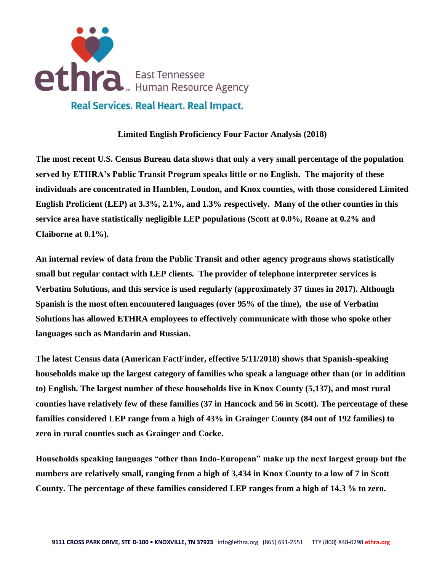

## **Limited English Proficiency Four Factor Analysis (2018)**

**The most recent U.S. Census Bureau data shows that only a very small percentage of the population served by ETHRA's Public Transit Program speaks little or no English. The majority of these individuals are concentrated in Hamblen, Loudon, and Knox counties, with those considered Limited English Proficient (LEP) at 3.3%, 2.1%, and 1.3% respectively. Many of the other counties in this service area have statistically negligible LEP populations (Scott at 0.0%, Roane at 0.2% and Claiborne at 0.1%).**

**An internal review of data from the Public Transit and other agency programs shows statistically small but regular contact with LEP clients. The provider of telephone interpreter services is Verbatim Solutions, and this service is used regularly (approximately 37 times in 2017). Although Spanish is the most often encountered languages (over 95% of the time), the use of Verbatim Solutions has allowed ETHRA employees to effectively communicate with those who spoke other languages such as Mandarin and Russian.**

**The latest Census data (American FactFinder, effective 5/11/2018) shows that Spanish-speaking households make up the largest category of families who speak a language other than (or in addition to) English. The largest number of these households live in Knox County (5,137), and most rural counties have relatively few of these families (37 in Hancock and 56 in Scott). The percentage of these families considered LEP range from a high of 43% in Grainger County (84 out of 192 families) to zero in rural counties such as Grainger and Cocke.**

**Households speaking languages "other than Indo-European" make up the next largest group but the numbers are relatively small, ranging from a high of 3,434 in Knox County to a low of 7 in Scott County. The percentage of these families considered LEP ranges from a high of 14.3 % to zero.**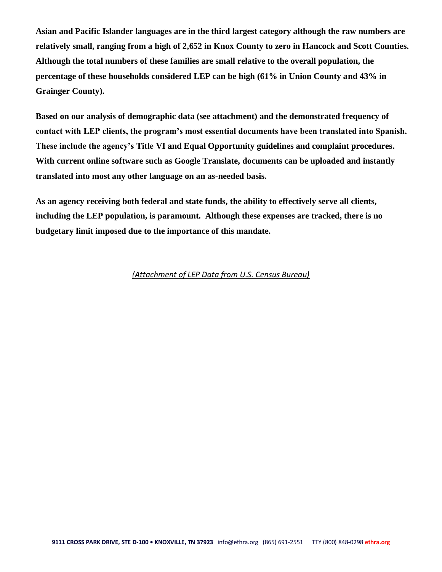**Asian and Pacific Islander languages are in the third largest category although the raw numbers are relatively small, ranging from a high of 2,652 in Knox County to zero in Hancock and Scott Counties. Although the total numbers of these families are small relative to the overall population, the percentage of these households considered LEP can be high (61% in Union County and 43% in Grainger County).** 

**Based on our analysis of demographic data (see attachment) and the demonstrated frequency of contact with LEP clients, the program's most essential documents have been translated into Spanish. These include the agency's Title VI and Equal Opportunity guidelines and complaint procedures. With current online software such as Google Translate, documents can be uploaded and instantly translated into most any other language on an as-needed basis.**

**As an agency receiving both federal and state funds, the ability to effectively serve all clients, including the LEP population, is paramount. Although these expenses are tracked, there is no budgetary limit imposed due to the importance of this mandate.** 

## *(Attachment of LEP Data from U.S. Census Bureau)*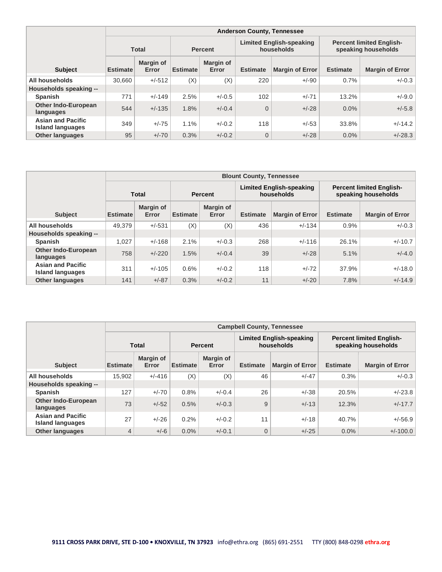|                                                     |                                                                                 |                           |                 |                    | <b>Anderson County, Tennessee</b>                      |                        |                 |                        |
|-----------------------------------------------------|---------------------------------------------------------------------------------|---------------------------|-----------------|--------------------|--------------------------------------------------------|------------------------|-----------------|------------------------|
|                                                     | <b>Limited English-speaking</b><br>households<br><b>Total</b><br><b>Percent</b> |                           |                 |                    | <b>Percent limited English-</b><br>speaking households |                        |                 |                        |
| <b>Subject</b>                                      | <b>Estimate</b>                                                                 | <b>Margin of</b><br>Error | <b>Estimate</b> | Margin of<br>Error | <b>Estimate</b>                                        | <b>Margin of Error</b> | <b>Estimate</b> | <b>Margin of Error</b> |
| All households                                      | 30.660                                                                          | $+/-512$                  | (X)             | (X)                | 220                                                    | $+/-90$                | 0.7%            | $+/-0.3$               |
| Households speaking --                              |                                                                                 |                           |                 |                    |                                                        |                        |                 |                        |
| <b>Spanish</b>                                      | 771                                                                             | $+/-149$                  | 2.5%            | $+/-0.5$           | 102                                                    | $+/-71$                | 13.2%           | $+/-9.0$               |
| <b>Other Indo-European</b><br>languages             | 544                                                                             | $+/-135$                  | 1.8%            | $+/-0.4$           | $\overline{0}$                                         | $+/-28$                | 0.0%            | $+/-5.8$               |
| <b>Asian and Pacific</b><br><b>Island languages</b> | 349                                                                             | $+/-75$                   | 1.1%            | $+/-0.2$           | 118                                                    | $+/-53$                | 33.8%           | $+/-14.2$              |
| <b>Other languages</b>                              | 95                                                                              | $+/-70$                   | 0.3%            | $+/-0.2$           | $\overline{0}$                                         | $+/-28$                | $0.0\%$         | $+/-28.3$              |

|                                                     |                 |                    |                 |                           | <b>Blount County, Tennessee</b>               |                        |                                                        |                        |
|-----------------------------------------------------|-----------------|--------------------|-----------------|---------------------------|-----------------------------------------------|------------------------|--------------------------------------------------------|------------------------|
|                                                     |                 | <b>Total</b>       |                 | <b>Percent</b>            | <b>Limited English-speaking</b><br>households |                        | <b>Percent limited English-</b><br>speaking households |                        |
| <b>Subject</b>                                      | <b>Estimate</b> | Margin of<br>Error | <b>Estimate</b> | <b>Margin of</b><br>Error | <b>Estimate</b>                               | <b>Margin of Error</b> | <b>Estimate</b>                                        | <b>Margin of Error</b> |
| All households                                      | 49.379          | $+/-531$           | (X)             | (X)                       | 436                                           | $+/-134$               | 0.9%                                                   | $+/-0.3$               |
| Households speaking --                              |                 |                    |                 |                           |                                               |                        |                                                        |                        |
| <b>Spanish</b>                                      | 1.027           | $+/-168$           | 2.1%            | $+/-0.3$                  | 268                                           | $+/-116$               | 26.1%                                                  | $+/-10.7$              |
| <b>Other Indo-European</b><br>languages             | 758             | $+/-220$           | 1.5%            | $+/-0.4$                  | 39                                            | $+/-28$                | 5.1%                                                   | $+/-4.0$               |
| <b>Asian and Pacific</b><br><b>Island languages</b> | 311             | $+/-105$           | 0.6%            | $+/-0.2$                  | 118                                           | $+/-72$                | 37.9%                                                  | $+/-18.0$              |
| <b>Other languages</b>                              | 141             | $+/-87$            | 0.3%            | $+/-0.2$                  | 11                                            | $+/-20$                | 7.8%                                                   | $+/-14.9$              |

|                                                     |                 |                    |                 |                    | <b>Campbell County, Tennessee</b>             |                        |                 |                                                        |  |
|-----------------------------------------------------|-----------------|--------------------|-----------------|--------------------|-----------------------------------------------|------------------------|-----------------|--------------------------------------------------------|--|
|                                                     |                 | <b>Total</b>       |                 | <b>Percent</b>     | <b>Limited English-speaking</b><br>households |                        |                 | <b>Percent limited English-</b><br>speaking households |  |
| <b>Subject</b>                                      | <b>Estimate</b> | Margin of<br>Error | <b>Estimate</b> | Margin of<br>Error | <b>Estimate</b>                               | <b>Margin of Error</b> | <b>Estimate</b> | <b>Margin of Error</b>                                 |  |
| All households                                      | 15,902          | $+/-416$           | (X)             | (X)                | 46                                            | $+/-47$                | 0.3%            | $+/-0.3$                                               |  |
| Households speaking --                              |                 |                    |                 |                    |                                               |                        |                 |                                                        |  |
| <b>Spanish</b>                                      | 127             | $+/-70$            | 0.8%            | $+/-0.4$           | 26                                            | $+/-38$                | 20.5%           | $+/-23.8$                                              |  |
| <b>Other Indo-European</b><br>languages             | 73              | $+/-52$            | 0.5%            | $+/-0.3$           | 9                                             | $+/-13$                | 12.3%           | $+/-17.7$                                              |  |
| <b>Asian and Pacific</b><br><b>Island languages</b> | 27              | $+/-26$            | 0.2%            | $+/-0.2$           | 11                                            | $+/-18$                | 40.7%           | $+/-56.9$                                              |  |
| <b>Other languages</b>                              | 4               | $+/-6$             | 0.0%            | $+/-0.1$           | $\overline{0}$                                | $+/-25$                | $0.0\%$         | $+/-100.0$                                             |  |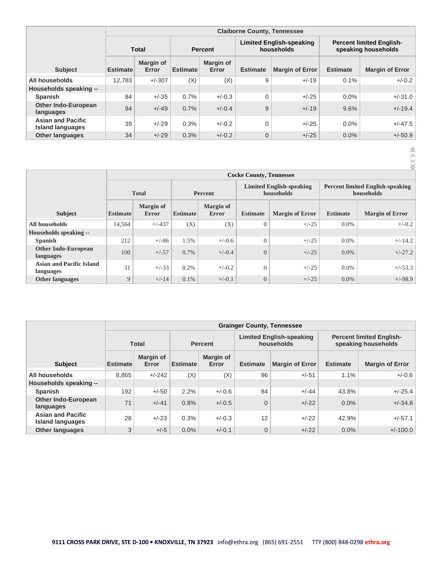|                                                     |                 |                    |                 |                           | <b>Claiborne County, Tennessee</b>            |                        |                                                        |                        |
|-----------------------------------------------------|-----------------|--------------------|-----------------|---------------------------|-----------------------------------------------|------------------------|--------------------------------------------------------|------------------------|
|                                                     |                 | <b>Total</b>       | <b>Percent</b>  |                           | <b>Limited English-speaking</b><br>households |                        | <b>Percent limited English-</b><br>speaking households |                        |
| <b>Subject</b>                                      | <b>Estimate</b> | Margin of<br>Error | <b>Estimate</b> | <b>Margin of</b><br>Error | <b>Estimate</b>                               | <b>Margin of Error</b> | <b>Estimate</b>                                        | <b>Margin of Error</b> |
| All households                                      | 12.783          | $+/-307$           | (X)             | (X)                       | 9                                             | $+/-19$                | 0.1%                                                   | $+/-0.2$               |
| Households speaking --                              |                 |                    |                 |                           |                                               |                        |                                                        |                        |
| <b>Spanish</b>                                      | 84              | $+/-35$            | 0.7%            | $+/-0.3$                  | $\mathbf 0$                                   | $+/-25$                | 0.0%                                                   | $+/-31.0$              |
| <b>Other Indo-European</b><br>languages             | 94              | $+/-49$            | 0.7%            | $+/-0.4$                  | 9                                             | $+/-19$                | 9.6%                                                   | $+/-19.4$              |
| <b>Asian and Pacific</b><br><b>Island languages</b> | 39              | $+/-29$            | 0.3%            | $+/-0.2$                  | $\mathbf 0$                                   | $+/-25$                | 0.0%                                                   | $+/-47.5$              |
| <b>Other languages</b>                              | 34              | $+/-29$            | 0.3%            | $+/-0.2$                  | $\overline{0}$                                | $+/-25$                | 0.0%                                                   | $+/-50.9$              |

 $\ll$   $\langle$   $\rangle$   $\rangle$ 

|                                              |                 |                           |                 |                                  | <b>Cocke County, Tennessee</b> |                                               |                 |                                                       |  |
|----------------------------------------------|-----------------|---------------------------|-----------------|----------------------------------|--------------------------------|-----------------------------------------------|-----------------|-------------------------------------------------------|--|
|                                              |                 | <b>Total</b>              |                 | Percent                          |                                | <b>Limited English-speaking</b><br>households |                 | <b>Percent limited English-speaking</b><br>households |  |
| <b>Subject</b>                               | <b>Estimate</b> | Margin of<br><b>Error</b> | <b>Estimate</b> | <b>Margin of</b><br><b>Error</b> | <b>Estimate</b>                | <b>Margin of Error</b>                        | <b>Estimate</b> | <b>Margin of Error</b>                                |  |
| All households                               | 14,564          | $+/-437$                  | (X)             | (X)                              | $\theta$                       | $+/-25$                                       | $0.0\%$         | $+/-0.2$                                              |  |
| Households speaking --                       |                 |                           |                 |                                  |                                |                                               |                 |                                                       |  |
| <b>Spanish</b>                               | 212             | $+/-86$                   | 1.5%            | $+/-0.6$                         | $\overline{0}$                 | $+/-25$                                       | $0.0\%$         | $+/-14.2$                                             |  |
| <b>Other Indo-European</b><br>languages      | 100             | $+/-57$                   | 0.7%            | $+/-0.4$                         | $\overline{0}$                 | $+/-25$                                       | $0.0\%$         | $+/-27.2$                                             |  |
| <b>Asian and Pacific Island</b><br>languages | 31              | $+/-33$                   | 0.2%            | $+/-0.2$                         | $\overline{0}$                 | $+/-25$                                       | $0.0\%$         | $+/-53.3$                                             |  |
| <b>Other languages</b>                       | 9               | $+/-14$                   | 0.1%            | $+/-0.1$                         | $\boldsymbol{0}$               | $+/-25$                                       | $0.0\%$         | $+/-98.9$                                             |  |

|                                                     |                                |                    |          |                    | <b>Grainger County, Tennessee</b> |                                               |                 |                                                        |
|-----------------------------------------------------|--------------------------------|--------------------|----------|--------------------|-----------------------------------|-----------------------------------------------|-----------------|--------------------------------------------------------|
|                                                     | <b>Total</b><br><b>Percent</b> |                    |          |                    |                                   | <b>Limited English-speaking</b><br>households |                 | <b>Percent limited English-</b><br>speaking households |
| <b>Subject</b>                                      | <b>Estimate</b>                | Margin of<br>Error | Estimate | Margin of<br>Error | <b>Estimate</b>                   | <b>Margin of Error</b>                        | <b>Estimate</b> | <b>Margin of Error</b>                                 |
| All households                                      | 8.865                          | $+/-242$           | (X)      | (X)                | 96                                | $+/-51$                                       | 1.1%            | $+/-0.6$                                               |
| Households speaking --                              |                                |                    |          |                    |                                   |                                               |                 |                                                        |
| <b>Spanish</b>                                      | 192                            | $+/-50$            | 2.2%     | $+/-0.6$           | 84                                | $+/-44$                                       | 43.8%           | $+/-25.4$                                              |
| <b>Other Indo-European</b><br>languages             | 71                             | $+/-41$            | 0.8%     | $+/-0.5$           | $\overline{0}$                    | $+/-22$                                       | $0.0\%$         | $+/-34.8$                                              |
| <b>Asian and Pacific</b><br><b>Island languages</b> | 28                             | $+/-23$            | 0.3%     | $+/-0.3$           | 12                                | $+/-22$                                       | 42.9%           | $+/-57.1$                                              |
| <b>Other languages</b>                              | 3                              | $+/-5$             | 0.0%     | $+/-0.1$           | $\overline{0}$                    | $+/-22$                                       | 0.0%            | $+/-100.0$                                             |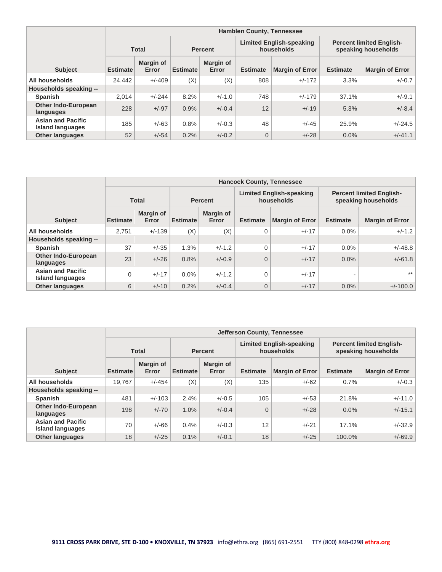|                                                     |                                                                                 |                           |                                                        |                    | <b>Hamblen County, Tennessee</b> |                        |                 |                        |
|-----------------------------------------------------|---------------------------------------------------------------------------------|---------------------------|--------------------------------------------------------|--------------------|----------------------------------|------------------------|-----------------|------------------------|
|                                                     | <b>Limited English-speaking</b><br>households<br><b>Total</b><br><b>Percent</b> |                           | <b>Percent limited English-</b><br>speaking households |                    |                                  |                        |                 |                        |
| <b>Subject</b>                                      | <b>Estimate</b>                                                                 | <b>Margin of</b><br>Error | <b>Estimate</b>                                        | Margin of<br>Error | <b>Estimate</b>                  | <b>Margin of Error</b> | <b>Estimate</b> | <b>Margin of Error</b> |
| All households                                      | 24.442                                                                          | $+/-409$                  | (X)                                                    | (X)                | 808                              | $+/-172$               | 3.3%            | $+/-0.7$               |
| Households speaking --                              |                                                                                 |                           |                                                        |                    |                                  |                        |                 |                        |
| <b>Spanish</b>                                      | 2,014                                                                           | $+/-244$                  | 8.2%                                                   | $+/-1.0$           | 748                              | $+/-179$               | 37.1%           | $+/-9.1$               |
| <b>Other Indo-European</b><br>languages             | 228                                                                             | $+/-97$                   | 0.9%                                                   | $+/-0.4$           | 12                               | $+/-19$                | 5.3%            | $+/-8.4$               |
| <b>Asian and Pacific</b><br><b>Island languages</b> | 185                                                                             | $+/-63$                   | 0.8%                                                   | $+/-0.3$           | 48                               | $+/-45$                | 25.9%           | $+/-24.5$              |
| <b>Other languages</b>                              | 52                                                                              | $+/-54$                   | 0.2%                                                   | $+/-0.2$           | $\overline{0}$                   | $+/-28$                | $0.0\%$         | $+/-41.1$              |

|                                                     |                 |                    |                 |                    | <b>Hancock County, Tennessee</b> |                                               |                                                        |                        |
|-----------------------------------------------------|-----------------|--------------------|-----------------|--------------------|----------------------------------|-----------------------------------------------|--------------------------------------------------------|------------------------|
|                                                     |                 | <b>Total</b>       |                 | <b>Percent</b>     |                                  | <b>Limited English-speaking</b><br>households | <b>Percent limited English-</b><br>speaking households |                        |
| <b>Subject</b>                                      | <b>Estimate</b> | Margin of<br>Error | <b>Estimate</b> | Margin of<br>Error | <b>Estimate</b>                  | <b>Margin of Error</b>                        | <b>Estimate</b>                                        | <b>Margin of Error</b> |
| All households                                      | 2.751           | $+/-139$           | (X)             | (X)                | $\Omega$                         | $+/-17$                                       | $0.0\%$                                                | $+/-1.2$               |
| Households speaking --                              |                 |                    |                 |                    |                                  |                                               |                                                        |                        |
| <b>Spanish</b>                                      | 37              | $+/-35$            | 1.3%            | $+/-1.2$           | $\Omega$                         | $+/-17$                                       | $0.0\%$                                                | $+/-48.8$              |
| <b>Other Indo-European</b><br>languages             | 23              | $+/-26$            | 0.8%            | $+/-0.9$           | $\Omega$                         | $+/-17$                                       | $0.0\%$                                                | $+/-61.8$              |
| <b>Asian and Pacific</b><br><b>Island languages</b> | $\Omega$        | $+/-17$            | $0.0\%$         | $+/-1.2$           | $\Omega$                         | $+/-17$                                       | -                                                      | $***$                  |
| <b>Other languages</b>                              | 6               | $+/-10$            | 0.2%            | $+/-0.4$           | $\overline{0}$                   | $+/-17$                                       | $0.0\%$                                                | $+/-100.0$             |

|                                                     |                 |                           |                 |                    | Jefferson County, Tennessee                   |                        |                                                        |                        |
|-----------------------------------------------------|-----------------|---------------------------|-----------------|--------------------|-----------------------------------------------|------------------------|--------------------------------------------------------|------------------------|
|                                                     |                 | <b>Total</b>              |                 | <b>Percent</b>     | <b>Limited English-speaking</b><br>households |                        | <b>Percent limited English-</b><br>speaking households |                        |
| <b>Subject</b>                                      | <b>Estimate</b> | <b>Margin of</b><br>Error | <b>Estimate</b> | Margin of<br>Error | <b>Estimate</b>                               | <b>Margin of Error</b> | <b>Estimate</b>                                        | <b>Margin of Error</b> |
| All households                                      | 19.767          | $+/-454$                  | (X)             | (X)                | 135                                           | $+/-62$                | 0.7%                                                   | $+/-0.3$               |
| Households speaking --                              |                 |                           |                 |                    |                                               |                        |                                                        |                        |
| <b>Spanish</b>                                      | 481             | $+/-103$                  | 2.4%            | $+/-0.5$           | 105                                           | $+/-53$                | 21.8%                                                  | $+/-11.0$              |
| <b>Other Indo-European</b><br>languages             | 198             | $+/-70$                   | 1.0%            | $+/-0.4$           | $\overline{0}$                                | $+/-28$                | $0.0\%$                                                | $+/-15.1$              |
| <b>Asian and Pacific</b><br><b>Island languages</b> | 70              | $+/-66$                   | 0.4%            | $+/-0.3$           | 12                                            | $+/-21$                | 17.1%                                                  | $+/-32.9$              |
| <b>Other languages</b>                              | 18              | $+/-25$                   | 0.1%            | $+/-0.1$           | 18                                            | $+/-25$                | 100.0%                                                 | $+/-69.9$              |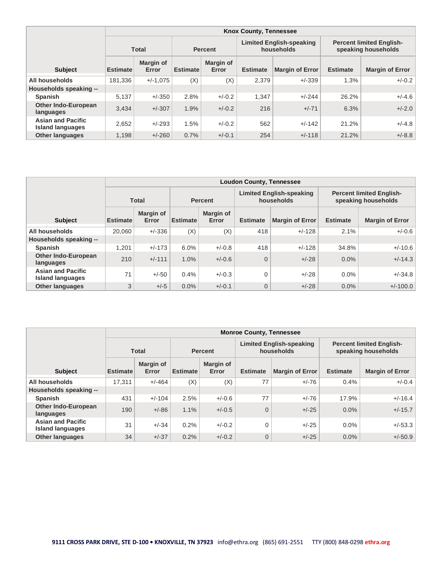|                                                     |                 |                    |                 |                    | <b>Knox County, Tennessee</b> |                                               |                 |                                                        |  |
|-----------------------------------------------------|-----------------|--------------------|-----------------|--------------------|-------------------------------|-----------------------------------------------|-----------------|--------------------------------------------------------|--|
|                                                     |                 | <b>Total</b>       |                 | <b>Percent</b>     |                               | <b>Limited English-speaking</b><br>households |                 | <b>Percent limited English-</b><br>speaking households |  |
| <b>Subject</b>                                      | <b>Estimate</b> | Margin of<br>Error | <b>Estimate</b> | Margin of<br>Error | <b>Estimate</b>               | <b>Margin of Error</b>                        | <b>Estimate</b> | <b>Margin of Error</b>                                 |  |
| All households                                      | 181.336         | $+/-1.075$         | (X)             | (X)                | 2,379                         | $+/-339$                                      | 1.3%            | $+/-0.2$                                               |  |
| Households speaking --                              |                 |                    |                 |                    |                               |                                               |                 |                                                        |  |
| <b>Spanish</b>                                      | 5,137           | $+/-350$           | 2.8%            | $+/-0.2$           | 1,347                         | $+/-244$                                      | 26.2%           | $+/-4.6$                                               |  |
| <b>Other Indo-European</b><br>languages             | 3.434           | $+/-307$           | 1.9%            | $+/-0.2$           | 216                           | $+/-71$                                       | 6.3%            | $+/-2.0$                                               |  |
| <b>Asian and Pacific</b><br><b>Island languages</b> | 2,652           | $+/-293$           | 1.5%            | $+/-0.2$           | 562                           | $+/-142$                                      | 21.2%           | $+/-4.8$                                               |  |
| <b>Other languages</b>                              | 1,198           | $+/-260$           | 0.7%            | $+/-0.1$           | 254                           | $+/-118$                                      | 21.2%           | $+/-8.8$                                               |  |

|                                                     |                 |                    |                 |                    | <b>Loudon County, Tennessee</b> |                                               |                                                        |                        |
|-----------------------------------------------------|-----------------|--------------------|-----------------|--------------------|---------------------------------|-----------------------------------------------|--------------------------------------------------------|------------------------|
|                                                     |                 | <b>Total</b>       |                 | <b>Percent</b>     |                                 | <b>Limited English-speaking</b><br>households | <b>Percent limited English-</b><br>speaking households |                        |
| <b>Subject</b>                                      | <b>Estimate</b> | Margin of<br>Error | <b>Estimate</b> | Margin of<br>Error | <b>Estimate</b>                 | <b>Margin of Error</b>                        | <b>Estimate</b>                                        | <b>Margin of Error</b> |
| All households                                      | 20.060          | $+/-336$           | (X)             | (X)                | 418                             | $+/-128$                                      | 2.1%                                                   | $+/-0.6$               |
| Households speaking --                              |                 |                    |                 |                    |                                 |                                               |                                                        |                        |
| <b>Spanish</b>                                      | 1.201           | $+/-173$           | 6.0%            | $+/-0.8$           | 418                             | $+/-128$                                      | 34.8%                                                  | $+/-10.6$              |
| <b>Other Indo-European</b><br>languages             | 210             | $+/-111$           | 1.0%            | $+/-0.6$           | $\Omega$                        | $+/-28$                                       | $0.0\%$                                                | $+/-14.3$              |
| <b>Asian and Pacific</b><br><b>Island languages</b> | 71              | $+/-50$            | 0.4%            | $+/-0.3$           | $\Omega$                        | $+/-28$                                       | $0.0\%$                                                | $+/-34.8$              |
| <b>Other languages</b>                              | 3               | $+/-5$             | $0.0\%$         | $+/-0.1$           | $\overline{0}$                  | $+/-28$                                       | $0.0\%$                                                | $+/-100.0$             |

|                                                     |                 |                           |                 |                           | <b>Monroe County, Tennessee</b>               |                        |                                                        |                        |
|-----------------------------------------------------|-----------------|---------------------------|-----------------|---------------------------|-----------------------------------------------|------------------------|--------------------------------------------------------|------------------------|
|                                                     |                 | <b>Total</b>              | <b>Percent</b>  |                           | <b>Limited English-speaking</b><br>households |                        | <b>Percent limited English-</b><br>speaking households |                        |
| <b>Subject</b>                                      | <b>Estimate</b> | <b>Margin of</b><br>Error | <b>Estimate</b> | <b>Margin of</b><br>Error | <b>Estimate</b>                               | <b>Margin of Error</b> | <b>Estimate</b>                                        | <b>Margin of Error</b> |
| All households                                      | 17.311          | $+/-464$                  | (X)             | (X)                       | 77                                            | $+/-76$                | 0.4%                                                   | $+/-0.4$               |
| Households speaking --                              |                 |                           |                 |                           |                                               |                        |                                                        |                        |
| <b>Spanish</b>                                      | 431             | $+/-104$                  | 2.5%            | $+/-0.6$                  | 77                                            | $+/-76$                | 17.9%                                                  | $+/-16.4$              |
| <b>Other Indo-European</b><br>languages             | 190             | $+/-86$                   | 1.1%            | $+/-0.5$                  | $\overline{0}$                                | $+/-25$                | $0.0\%$                                                | $+/-15.7$              |
| <b>Asian and Pacific</b><br><b>Island languages</b> | 31              | $+/-34$                   | 0.2%            | $+/-0.2$                  | 0                                             | $+/-25$                | $0.0\%$                                                | $+/-53.3$              |
| <b>Other languages</b>                              | 34              | $+/-37$                   | 0.2%            | $+/-0.2$                  | 0                                             | $+/-25$                | 0.0%                                                   | $+/-50.9$              |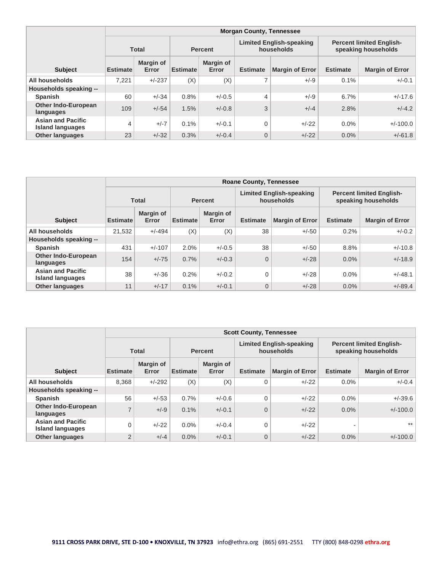|                                                     | <b>Morgan County, Tennessee</b>                                                 |                           |                 |                                                        |                 |                        |                 |                        |  |  |  |
|-----------------------------------------------------|---------------------------------------------------------------------------------|---------------------------|-----------------|--------------------------------------------------------|-----------------|------------------------|-----------------|------------------------|--|--|--|
|                                                     | <b>Limited English-speaking</b><br>households<br><b>Total</b><br><b>Percent</b> |                           |                 | <b>Percent limited English-</b><br>speaking households |                 |                        |                 |                        |  |  |  |
| <b>Subject</b>                                      | <b>Estimate</b>                                                                 | <b>Margin of</b><br>Error | <b>Estimate</b> | <b>Margin of</b><br>Error                              | <b>Estimate</b> | <b>Margin of Error</b> | <b>Estimate</b> | <b>Margin of Error</b> |  |  |  |
| All households                                      | 7.221                                                                           | $+/-237$                  | (X)             | (X)                                                    | 7               | $+/-9$                 | 0.1%            | $+/-0.1$               |  |  |  |
| Households speaking --                              |                                                                                 |                           |                 |                                                        |                 |                        |                 |                        |  |  |  |
| <b>Spanish</b>                                      | 60                                                                              | $+/-34$                   | 0.8%            | $+/-0.5$                                               | 4               | $+/-9$                 | 6.7%            | $+/-17.6$              |  |  |  |
| <b>Other Indo-European</b><br>languages             | 109                                                                             | $+/-54$                   | 1.5%            | $+/-0.8$                                               | 3               | $+/-4$                 | 2.8%            | $+/-4.2$               |  |  |  |
| <b>Asian and Pacific</b><br><b>Island languages</b> | $\overline{4}$                                                                  | $+/-7$                    | 0.1%            | $+/-0.1$                                               | 0               | $+/-22$                | $0.0\%$         | $+/-100.0$             |  |  |  |
| <b>Other languages</b>                              | 23                                                                              | $+/-32$                   | 0.3%            | $+/-0.4$                                               | 0               | $+/-22$                | $0.0\%$         | $+/-61.8$              |  |  |  |

|                                                     | <b>Roane County, Tennessee</b> |                           |          |                                                                 |                 |                        |                                                        |                        |  |  |  |
|-----------------------------------------------------|--------------------------------|---------------------------|----------|-----------------------------------------------------------------|-----------------|------------------------|--------------------------------------------------------|------------------------|--|--|--|
|                                                     |                                | <b>Total</b>              |          | <b>Limited English-speaking</b><br>households<br><b>Percent</b> |                 |                        | <b>Percent limited English-</b><br>speaking households |                        |  |  |  |
| <b>Subject</b>                                      | <b>Estimate</b>                | <b>Margin of</b><br>Error | Estimate | Margin of<br>Error                                              | <b>Estimate</b> | <b>Margin of Error</b> | <b>Estimate</b>                                        | <b>Margin of Error</b> |  |  |  |
| All households                                      | 21.532                         | $+/-494$                  | (X)      | (X)                                                             | 38              | $+/-50$                | 0.2%                                                   | $+/-0.2$               |  |  |  |
| Households speaking --                              |                                |                           |          |                                                                 |                 |                        |                                                        |                        |  |  |  |
| <b>Spanish</b>                                      | 431                            | $+/-107$                  | 2.0%     | $+/-0.5$                                                        | 38              | $+/-50$                | 8.8%                                                   | $+/-10.8$              |  |  |  |
| <b>Other Indo-European</b><br>languages             | 154                            | $+/-75$                   | 0.7%     | $+/-0.3$                                                        | $\overline{0}$  | $+/-28$                | $0.0\%$                                                | $+/-18.9$              |  |  |  |
| <b>Asian and Pacific</b><br><b>Island languages</b> | 38                             | $+/-36$                   | 0.2%     | $+/-0.2$                                                        | 0               | $+/-28$                | $0.0\%$                                                | $+/-48.1$              |  |  |  |
| <b>Other languages</b>                              | 11                             | $+/-17$                   | 0.1%     | $+/-0.1$                                                        | 0               | $+/-28$                | $0.0\%$                                                | $+/-89.4$              |  |  |  |

|                                                     | <b>Scott County, Tennessee</b> |                    |                 |                    |                                               |                        |                                                        |                        |  |  |  |
|-----------------------------------------------------|--------------------------------|--------------------|-----------------|--------------------|-----------------------------------------------|------------------------|--------------------------------------------------------|------------------------|--|--|--|
|                                                     |                                | <b>Total</b>       |                 | <b>Percent</b>     | <b>Limited English-speaking</b><br>households |                        | <b>Percent limited English-</b><br>speaking households |                        |  |  |  |
| <b>Subject</b>                                      | <b>Estimate</b>                | Margin of<br>Error | <b>Estimate</b> | Margin of<br>Error | <b>Estimate</b>                               | <b>Margin of Error</b> | <b>Estimate</b>                                        | <b>Margin of Error</b> |  |  |  |
| All households                                      | 8,368                          | $+/-292$           | (X)             | (X)                | $\Omega$                                      | $+/-22$                | 0.0%                                                   | $+/-0.4$               |  |  |  |
| Households speaking --                              |                                |                    |                 |                    |                                               |                        |                                                        |                        |  |  |  |
| <b>Spanish</b>                                      | 56                             | $+/-53$            | 0.7%            | $+/-0.6$           | $\Omega$                                      | $+/-22$                | 0.0%                                                   | $+/-39.6$              |  |  |  |
| <b>Other Indo-European</b><br>languages             | $\overline{ }$                 | $+/-9$             | 0.1%            | $+/-0.1$           | $\overline{0}$                                | $+/-22$                | 0.0%                                                   | $+/-100.0$             |  |  |  |
| <b>Asian and Pacific</b><br><b>Island languages</b> |                                | $+/-22$            | $0.0\%$         | $+/-0.4$           | $\Omega$                                      | $+/-22$                | $\overline{\phantom{0}}$                               | $***$                  |  |  |  |
| <b>Other languages</b>                              | $\overline{2}$                 | $+/-4$             | 0.0%            | $+/-0.1$           | $\overline{0}$                                | $+/-22$                | 0.0%                                                   | $+/-100.0$             |  |  |  |